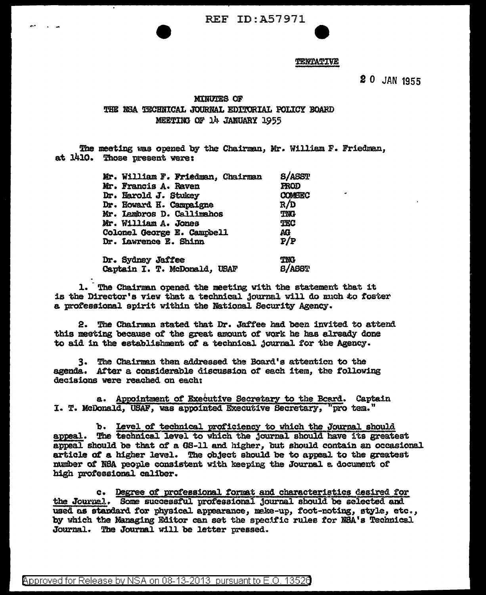REF ID:A57971

TENTATIVE

**20 JAN 1955** 

## **MINUTES OF** THE NSA TECHNICAL JOURNAL EDITORIAL POLICY BOARD MEETING OF 14 JANUARY 1955

The meeting was opened by the Chairman, Mr. William F. Friedman, at 1410. Those present were:

| Mr. William F. Friedman, Chairman | S/ASST        |
|-----------------------------------|---------------|
| Mr. Francis A. Raven              | PROD          |
| Dr. Harold J. Stukey              | <b>COMBEC</b> |
| Dr. Howard H. Campaigne           | R/D           |
| Mr. Lambros D. Callimahos         | TNG           |
| Mr. William A. Jones              | TEC           |
| Colonel George E. Campbell        | AG            |
| Dr. Lawrence E. Shinn             | P/P           |
| Dr. Sydney Jaffee                 | TNG           |
| Captain I. T. McDonald, USAF      | <b>S/ASST</b> |

1. The Chairman opened the meeting with the statement that it is the Director's view that a technical journal will do much to foster a professi0%lal spirit within the National Security Agency.

2. The Chairman stated that Dr. Jattee had been invited to attend this meeting because of the great amount of work he has already done to aid in the establishment *ot* a technical Journal for the Agency.

3. The Chairman then addressed the Board's attention to the agenda. After a considerable discussion of each item, the following decisions were reached on each:

a. Appointment of Executive Secretary to the Board. Captain I. T. McDonald, USAF, was appointed Executive Secretary, "pro tem."

b. Level of technical proficiency to which the Journal should appeal. The technical level to which the journal should have its greatest appeal should be that *ot* a GS-ll and higher, but should contain an occasional. article *ar* a higher level. The object should be to appeal to the greatest number of NSA people consistent with keeping the Journal a document of high proteasional caliber.

c. Degree of professional format and characteristics desired for the Journal. Some successful professional journal should be selected and used as standard for physical appearance, make-up, foot-noting, style, etc., by which the Managing Editor can set the specific rules for NBA's Technical Journal. The Journal will be letter pressed.